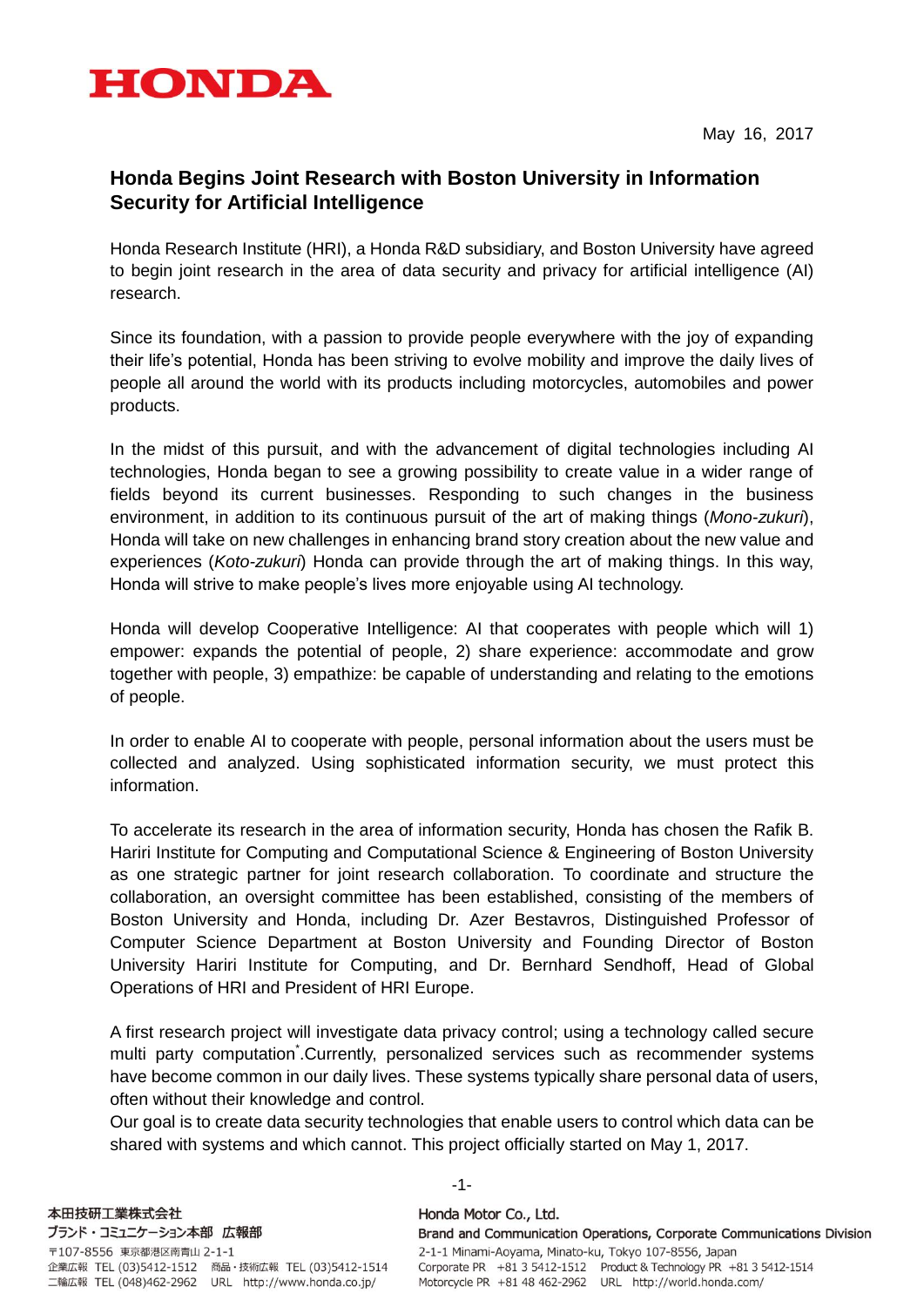

May 16, 2017

# **Honda Begins Joint Research with Boston University in Information Security for Artificial Intelligence**

Honda Research Institute (HRI), a Honda R&D subsidiary, and Boston University have agreed to begin joint research in the area of data security and privacy for artificial intelligence (AI) research.

Since its foundation, with a passion to provide people everywhere with the joy of expanding their life's potential, Honda has been striving to evolve mobility and improve the daily lives of people all around the world with its products including motorcycles, automobiles and power products.

In the midst of this pursuit, and with the advancement of digital technologies including AI technologies, Honda began to see a growing possibility to create value in a wider range of fields beyond its current businesses. Responding to such changes in the business environment, in addition to its continuous pursuit of the art of making things (*Mono-zukuri*), Honda will take on new challenges in enhancing brand story creation about the new value and experiences (*Koto-zukuri*) Honda can provide through the art of making things. In this way, Honda will strive to make people's lives more enjoyable using AI technology.

Honda will develop Cooperative Intelligence: AI that cooperates with people which will 1) empower: expands the potential of people, 2) share experience: accommodate and grow together with people, 3) empathize: be capable of understanding and relating to the emotions of people.

In order to enable AI to cooperate with people, personal information about the users must be collected and analyzed. Using sophisticated information security, we must protect this information.

To accelerate its research in the area of information security, Honda has chosen the Rafik B. Hariri Institute for Computing and Computational Science & Engineering of Boston University as one strategic partner for joint research collaboration. To coordinate and structure the collaboration, an oversight committee has been established, consisting of the members of Boston University and Honda, including Dr. Azer Bestavros, Distinguished Professor of Computer Science Department at Boston University and Founding Director of Boston University Hariri Institute for Computing, and Dr. Bernhard Sendhoff, Head of Global Operations of HRI and President of HRI Europe.

A first research project will investigate data privacy control; using a technology called secure multi party computation Currently, personalized services such as recommender systems have become common in our daily lives. These systems typically share personal data of users, often without their knowledge and control.

Our goal is to create data security technologies that enable users to control which data can be shared with systems and which cannot. This project officially started on May 1, 2017.

-1-

Honda Motor Co., Ltd. Brand and Communication Operations, Corporate Communications Division 2-1-1 Minami-Aoyama, Minato-ku, Tokyo 107-8556, Japan Corporate PR +81 3 5412-1512 Product & Technology PR +81 3 5412-1514 Motorcycle PR +81 48 462-2962 URL http://world.honda.com/